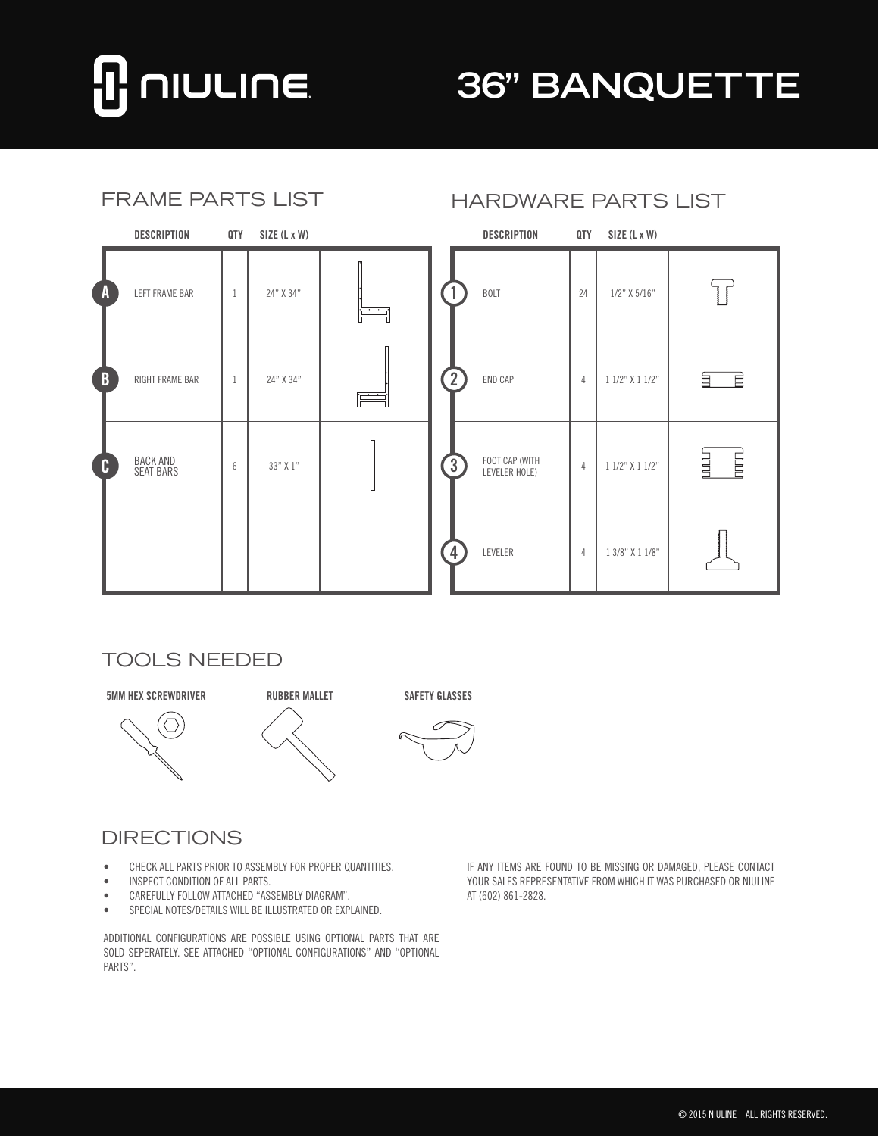# **NULINE**

## **36" BANQUETTE**

| <b>FRAME PARTS LIST</b> |                                     |                |              |   | <b>HARDWARE PARTS LIST</b> |                                 |                |                 |                           |
|-------------------------|-------------------------------------|----------------|--------------|---|----------------------------|---------------------------------|----------------|-----------------|---------------------------|
|                         | DESCRIPTION                         | QTY            | SIZE (L x W) |   |                            | DESCRIPTION                     | QTY            | SIZE (L x W)    |                           |
| $\overline{A}$          | LEFT FRAME BAR                      | -1             | 24" X 34"    |   |                            | <b>BOLT</b>                     | 24             | $1/2$ " X 5/16" | $\overline{\mathbb{F}}$   |
| $\overline{B}$          | RIGHT FRAME BAR                     | $\overline{1}$ | 24" X 34"    | F | $\overline{2}$             | END CAP                         | $\overline{4}$ | 1 1/2" X 1 1/2" | $\overrightarrow{E}$<br>딐 |
| $\mathbf{C}$            | <b>BACK AND</b><br><b>SEAT BARS</b> | 6              | 33" X 1"     |   | $\left(3\right)$           | FOOT CAP (WITH<br>LEVELER HOLE) | $\overline{4}$ | 1 1/2" X 1 1/2" | E<br>山山                   |
|                         |                                     |                |              |   | $\overline{4}$             | LEVELER                         | $\overline{4}$ | 1 3/8" X 1 1/8" |                           |

#### TOOLS NEEDED







#### **DIRECTIONS**

- CHECK ALL PARTS PRIOR TO ASSEMBLY FOR PROPER QUANTITIES.
- • INSPECT CONDITION OF ALL PARTS.
- • CAREFULLY FOLLOW ATTACHED "ASSEMBLY DIAGRAM".
- • SPECIAL NOTES/DETAILS WILL BE ILLUSTRATED OR EXPLAINED.

ADDITIONAL CONFIGURATIONS ARE POSSIBLE USING OPTIONAL PARTS THAT ARE SOLD SEPERATELY. SEE ATTACHED "OPTIONAL CONFIGURATIONS" AND "OPTIONAL PARTS".

IF ANY ITEMS ARE FOUND TO BE MISSING OR DAMAGED, PLEASE CONTACT YOUR SALES REPRESENTATIVE FROM WHICH IT WAS PURCHASED OR NIULINE AT (602) 861-2828.

### HARDWARE PARTS LIST